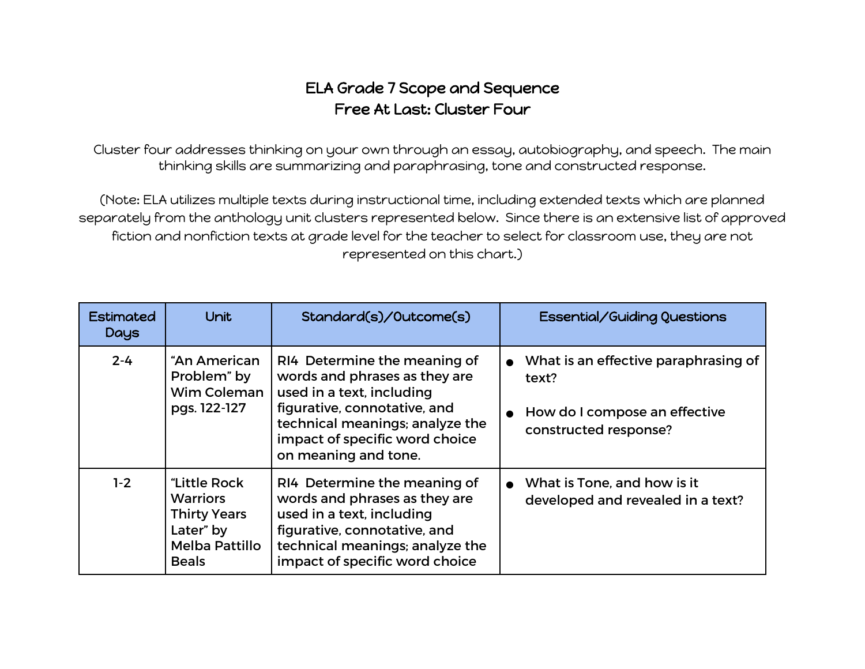## ELA Grade 7 Scope and Sequence Free At Last: Cluster Four

Cluster four addresses thinking on your own through an essay, autobiography, and speech. The main thinking skills are summarizing and paraphrasing, tone and constructed response.

(Note: ELA utilizes multiple texts during instructional time, including extended texts which are planned separately from the anthology unit clusters represented below. Since there is an extensive list of approved fiction and nonfiction texts at grade level for the teacher to select for classroom use, they are not represented on this chart.)

| <b>Estimated</b><br>Days | <b>Unit</b>                                                                                                  | Standard(s)/Outcome(s)                                                                                                                                                                                                  | Essential/Guiding Questions                                                                               |
|--------------------------|--------------------------------------------------------------------------------------------------------------|-------------------------------------------------------------------------------------------------------------------------------------------------------------------------------------------------------------------------|-----------------------------------------------------------------------------------------------------------|
| $2 - 4$                  | "An American<br>Problem" by<br>Wim Coleman<br>pgs. 122-127                                                   | RI4 Determine the meaning of<br>words and phrases as they are<br>used in a text, including<br>figurative, connotative, and<br>technical meanings; analyze the<br>impact of specific word choice<br>on meaning and tone. | • What is an effective paraphrasing of<br>text?<br>How do I compose an effective<br>constructed response? |
| $1-2$                    | "Little Rock<br><b>Warriors</b><br><b>Thirty Years</b><br>Later" by<br><b>Melba Pattillo</b><br><b>Beals</b> | RI4 Determine the meaning of<br>words and phrases as they are<br>used in a text, including<br>figurative, connotative, and<br>technical meanings; analyze the<br>impact of specific word choice                         | • What is Tone, and how is it<br>developed and revealed in a text?                                        |